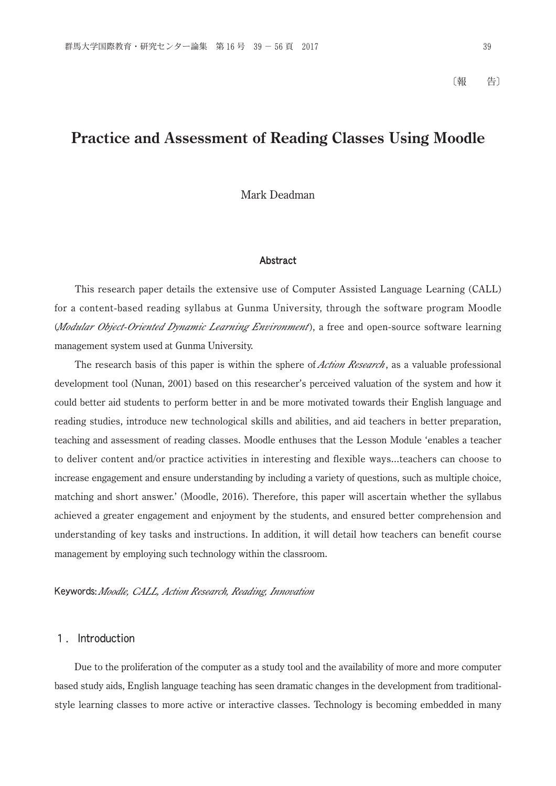# **Practice and Assessment of Reading Classes Using Moodle**

Mark Deadman

#### Abstract

 This research paper details the extensive use of Computer Assisted Language Learning (CALL) for a content-based reading syllabus at Gunma University, through the software program Moodle (*Modular Object-Oriented Dynamic Learning Environment*), a free and open-source software learning management system used at Gunma University.

 The research basis of this paper is within the sphere of *Action Research*, as a valuable professional development tool (Nunan, 2001) based on this researcher's perceived valuation of the system and how it could better aid students to perform better in and be more motivated towards their English language and reading studies, introduce new technological skills and abilities, and aid teachers in better preparation, teaching and assessment of reading classes. Moodle enthuses that the Lesson Module 'enables a teacher to deliver content and/or practice activities in interesting and flexible ways...teachers can choose to increase engagement and ensure understanding by including a variety of questions, such as multiple choice, matching and short answer.' (Moodle, 2016). Therefore, this paper will ascertain whether the syllabus achieved a greater engagement and enjoyment by the students, and ensured better comprehension and understanding of key tasks and instructions. In addition, it will detail how teachers can benefit course management by employing such technology within the classroom.

Keywords: *Moodle, CALL, Action Research, Reading, Innovation*

### 1. Introduction

 Due to the proliferation of the computer as a study tool and the availability of more and more computer based study aids, English language teaching has seen dramatic changes in the development from traditionalstyle learning classes to more active or interactive classes. Technology is becoming embedded in many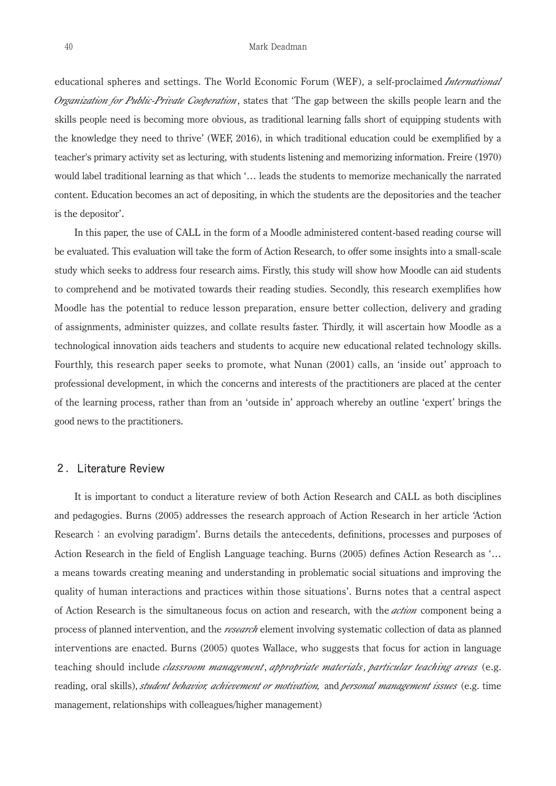educational spheres and settings. The World Economic Forum (WEF), a self-proclaimed *International Organization for Public-Private Cooperation*, states that 'The gap between the skills people learn and the skills people need is becoming more obvious, as traditional learning falls short of equipping students with the knowledge they need to thrive' (WEF, 2016), in which traditional education could be exemplified by a teacher's primary activity set as lecturing, with students listening and memorizing information. Freire (1970) would label traditional learning as that which '… leads the students to memorize mechanically the narrated content. Education becomes an act of depositing, in which the students are the depositories and the teacher is the depositor'.

 In this paper, the use of CALL in the form of a Moodle administered content-based reading course will be evaluated. This evaluation will take the form of Action Research, to offer some insights into a small-scale study which seeks to address four research aims. Firstly, this study will show how Moodle can aid students to comprehend and be motivated towards their reading studies. Secondly, this research exemplifies how Moodle has the potential to reduce lesson preparation, ensure better collection, delivery and grading of assignments, administer quizzes, and collate results faster. Thirdly, it will ascertain how Moodle as a technological innovation aids teachers and students to acquire new educational related technology skills. Fourthly, this research paper seeks to promote, what Nunan (2001) calls, an 'inside out' approach to professional development, in which the concerns and interests of the practitioners are placed at the center of the learning process, rather than from an 'outside in' approach whereby an outline 'expert' brings the good news to the practitioners.

#### 2. Literature Review

 It is important to conduct a literature review of both Action Research and CALL as both disciplines and pedagogies. Burns (2005) addresses the research approach of Action Research in her article 'Action Research: an evolving paradigm'. Burns details the antecedents, definitions, processes and purposes of Action Research in the field of English Language teaching. Burns (2005) defines Action Research as '… a means towards creating meaning and understanding in problematic social situations and improving the quality of human interactions and practices within those situations'. Burns notes that a central aspect of Action Research is the simultaneous focus on action and research, with the *action* component being a process of planned intervention, and the *research* element involving systematic collection of data as planned interventions are enacted. Burns (2005) quotes Wallace, who suggests that focus for action in language teaching should include *classroom management*, *appropriate materials*, *particular teaching areas* (e.g. reading, oral skills), *student behavior, achievement or motivation,* and *personal management issues* (e.g. time management, relationships with colleagues/higher management)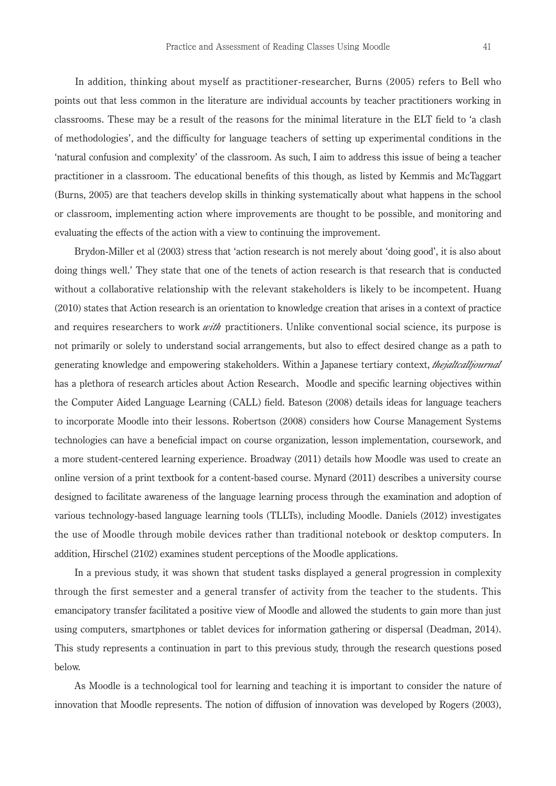In addition, thinking about myself as practitioner-researcher, Burns (2005) refers to Bell who points out that less common in the literature are individual accounts by teacher practitioners working in classrooms. These may be a result of the reasons for the minimal literature in the ELT field to 'a clash of methodologies', and the difficulty for language teachers of setting up experimental conditions in the 'natural confusion and complexity' of the classroom. As such, I aim to address this issue of being a teacher practitioner in a classroom. The educational benefits of this though, as listed by Kemmis and McTaggart (Burns, 2005) are that teachers develop skills in thinking systematically about what happens in the school or classroom, implementing action where improvements are thought to be possible, and monitoring and evaluating the effects of the action with a view to continuing the improvement.

 Brydon-Miller et al (2003) stress that 'action research is not merely about 'doing good', it is also about doing things well.' They state that one of the tenets of action research is that research that is conducted without a collaborative relationship with the relevant stakeholders is likely to be incompetent. Huang (2010) states that Action research is an orientation to knowledge creation that arises in a context of practice and requires researchers to work *with* practitioners. Unlike conventional social science, its purpose is not primarily or solely to understand social arrangements, but also to effect desired change as a path to generating knowledge and empowering stakeholders. Within a Japanese tertiary context, *thejaltcalljournal*  has a plethora of research articles about Action Research、Moodle and specific learning objectives within the Computer Aided Language Learning (CALL) field. Bateson (2008) details ideas for language teachers to incorporate Moodle into their lessons. Robertson (2008) considers how Course Management Systems technologies can have a beneficial impact on course organization, lesson implementation, coursework, and a more student-centered learning experience. Broadway (2011) details how Moodle was used to create an online version of a print textbook for a content-based course. Mynard (2011) describes a university course designed to facilitate awareness of the language learning process through the examination and adoption of various technology-based language learning tools (TLLTs), including Moodle. Daniels (2012) investigates the use of Moodle through mobile devices rather than traditional notebook or desktop computers. In addition, Hirschel (2102) examines student perceptions of the Moodle applications.

 In a previous study, it was shown that student tasks displayed a general progression in complexity through the first semester and a general transfer of activity from the teacher to the students. This emancipatory transfer facilitated a positive view of Moodle and allowed the students to gain more than just using computers, smartphones or tablet devices for information gathering or dispersal (Deadman, 2014). This study represents a continuation in part to this previous study, through the research questions posed below.

 As Moodle is a technological tool for learning and teaching it is important to consider the nature of innovation that Moodle represents. The notion of diffusion of innovation was developed by Rogers (2003),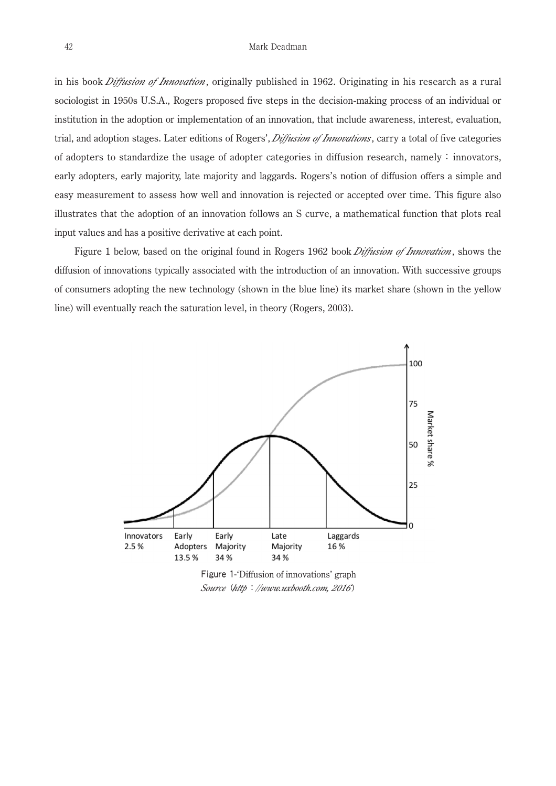in his book *Diffusion of Innovation*, originally published in 1962. Originating in his research as a rural sociologist in 1950s U.S.A., Rogers proposed five steps in the decision-making process of an individual or institution in the adoption or implementation of an innovation, that include awareness, interest, evaluation, trial, and adoption stages. Later editions of Rogers', *Diffusion of Innovations*, carry a total of five categories of adopters to standardize the usage of adopter categories in diffusion research, namely: innovators, early adopters, early majority, late majority and laggards. Rogers's notion of diffusion offers a simple and easy measurement to assess how well and innovation is rejected or accepted over time. This figure also illustrates that the adoption of an innovation follows an S curve, a mathematical function that plots real input values and has a positive derivative at each point.

 Figure 1 below, based on the original found in Rogers 1962 book *Diffusion of Innovation*, shows the diffusion of innovations typically associated with the introduction of an innovation. With successive groups of consumers adopting the new technology (shown in the blue line) its market share (shown in the yellow line) will eventually reach the saturation level, in theory (Rogers, 2003).



Figure 1-'Diffusion of innovations' graph *Source* (*http*:*//www.uxbooth.com, 2016*)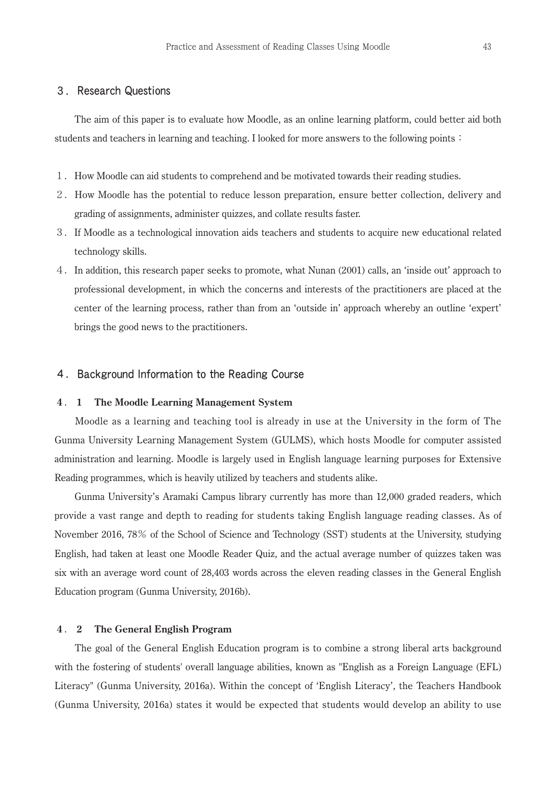# 3.Research Questions

 The aim of this paper is to evaluate how Moodle, as an online learning platform, could better aid both students and teachers in learning and teaching. I looked for more answers to the following points:

- 1.How Moodle can aid students to comprehend and be motivated towards their reading studies.
- 2.How Moodle has the potential to reduce lesson preparation, ensure better collection, delivery and grading of assignments, administer quizzes, and collate results faster.
- 3.If Moodle as a technological innovation aids teachers and students to acquire new educational related technology skills.
- 4.In addition, this research paper seeks to promote, what Nunan (2001) calls, an 'inside out' approach to professional development, in which the concerns and interests of the practitioners are placed at the center of the learning process, rather than from an 'outside in' approach whereby an outline 'expert' brings the good news to the practitioners.

## 4.Background Information to the Reading Course

#### **4** . **1 The Moodle Learning Management System**

 Moodle as a learning and teaching tool is already in use at the University in the form of The Gunma University Learning Management System (GULMS), which hosts Moodle for computer assisted administration and learning. Moodle is largely used in English language learning purposes for Extensive Reading programmes, which is heavily utilized by teachers and students alike.

 Gunma University's Aramaki Campus library currently has more than 12,000 graded readers, which provide a vast range and depth to reading for students taking English language reading classes. As of November 2016, 78% of the School of Science and Technology (SST) students at the University, studying English, had taken at least one Moodle Reader Quiz, and the actual average number of quizzes taken was six with an average word count of 28,403 words across the eleven reading classes in the General English Education program (Gunma University, 2016b).

#### **4** . **2 The General English Program**

 The goal of the General English Education program is to combine a strong liberal arts background with the fostering of students' overall language abilities, known as "English as a Foreign Language (EFL) Literacy" (Gunma University, 2016a). Within the concept of 'English Literacy', the Teachers Handbook (Gunma University, 2016a) states it would be expected that students would develop an ability to use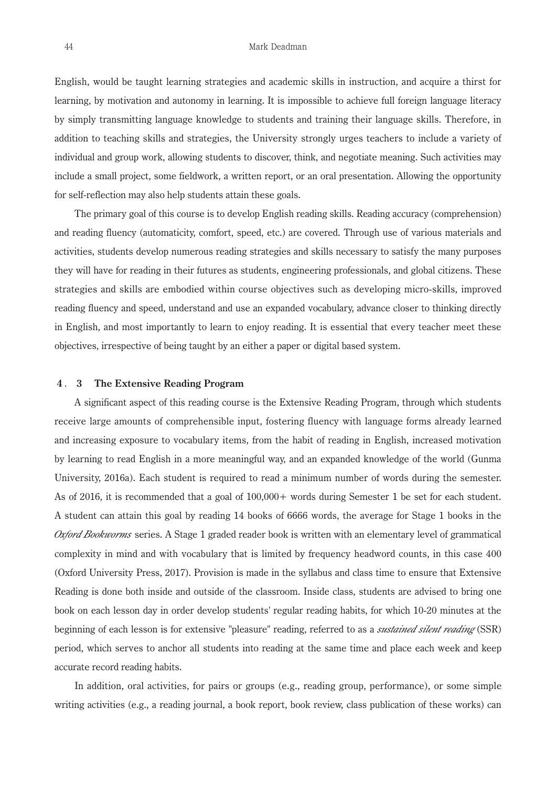English, would be taught learning strategies and academic skills in instruction, and acquire a thirst for learning, by motivation and autonomy in learning. It is impossible to achieve full foreign language literacy by simply transmitting language knowledge to students and training their language skills. Therefore, in addition to teaching skills and strategies, the University strongly urges teachers to include a variety of individual and group work, allowing students to discover, think, and negotiate meaning. Such activities may include a small project, some fieldwork, a written report, or an oral presentation. Allowing the opportunity for self-reflection may also help students attain these goals.

 The primary goal of this course is to develop English reading skills. Reading accuracy (comprehension) and reading fluency (automaticity, comfort, speed, etc.) are covered. Through use of various materials and activities, students develop numerous reading strategies and skills necessary to satisfy the many purposes they will have for reading in their futures as students, engineering professionals, and global citizens. These strategies and skills are embodied within course objectives such as developing micro-skills, improved reading fluency and speed, understand and use an expanded vocabulary, advance closer to thinking directly in English, and most importantly to learn to enjoy reading. It is essential that every teacher meet these objectives, irrespective of being taught by an either a paper or digital based system.

#### **4** . **3 The Extensive Reading Program**

 A significant aspect of this reading course is the Extensive Reading Program, through which students receive large amounts of comprehensible input, fostering fluency with language forms already learned and increasing exposure to vocabulary items, from the habit of reading in English, increased motivation by learning to read English in a more meaningful way, and an expanded knowledge of the world (Gunma University, 2016a). Each student is required to read a minimum number of words during the semester. As of 2016, it is recommended that a goal of 100,000+ words during Semester 1 be set for each student. A student can attain this goal by reading 14 books of 6666 words, the average for Stage 1 books in the *Oxford Bookworms* series. A Stage 1 graded reader book is written with an elementary level of grammatical complexity in mind and with vocabulary that is limited by frequency headword counts, in this case 400 (Oxford University Press, 2017). Provision is made in the syllabus and class time to ensure that Extensive Reading is done both inside and outside of the classroom. Inside class, students are advised to bring one book on each lesson day in order develop students' regular reading habits, for which 10-20 minutes at the beginning of each lesson is for extensive "pleasure" reading, referred to as a *sustained silent reading* (SSR) period, which serves to anchor all students into reading at the same time and place each week and keep accurate record reading habits.

 In addition, oral activities, for pairs or groups (e.g., reading group, performance), or some simple writing activities (e.g., a reading journal, a book report, book review, class publication of these works) can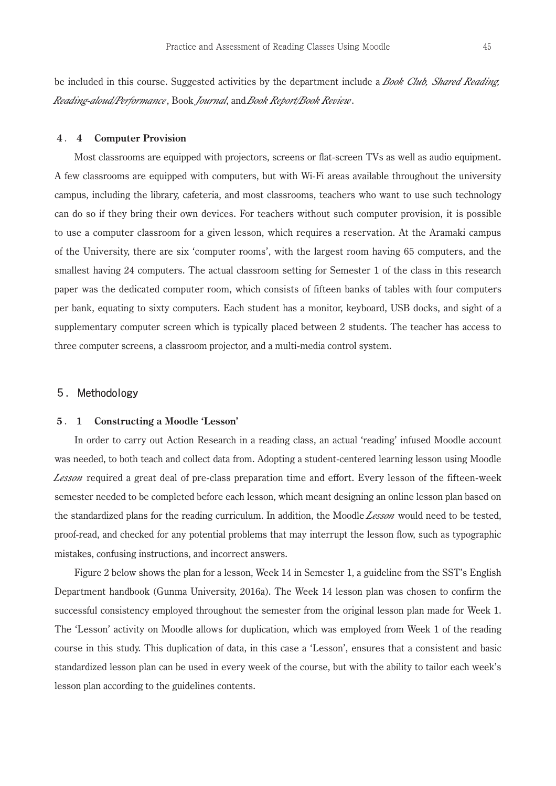be included in this course. Suggested activities by the department include a *Book Club, Shared Reading, Reading-aloud/Performance*, Book *Journal*, and *Book Report/Book Review*.

#### **4** . **4 Computer Provision**

 Most classrooms are equipped with projectors, screens or flat-screen TVs as well as audio equipment. A few classrooms are equipped with computers, but with Wi-Fi areas available throughout the university campus, including the library, cafeteria, and most classrooms, teachers who want to use such technology can do so if they bring their own devices. For teachers without such computer provision, it is possible to use a computer classroom for a given lesson, which requires a reservation. At the Aramaki campus of the University, there are six 'computer rooms', with the largest room having 65 computers, and the smallest having 24 computers. The actual classroom setting for Semester 1 of the class in this research paper was the dedicated computer room, which consists of fifteen banks of tables with four computers per bank, equating to sixty computers. Each student has a monitor, keyboard, USB docks, and sight of a supplementary computer screen which is typically placed between 2 students. The teacher has access to three computer screens, a classroom projector, and a multi-media control system.

## 5.Methodology

#### **5** . **1 Constructing a Moodle 'Lesson'**

 In order to carry out Action Research in a reading class, an actual 'reading' infused Moodle account was needed, to both teach and collect data from. Adopting a student-centered learning lesson using Moodle *Lesson* required a great deal of pre-class preparation time and effort. Every lesson of the fifteen-week semester needed to be completed before each lesson, which meant designing an online lesson plan based on the standardized plans for the reading curriculum. In addition, the Moodle *Lesson* would need to be tested, proof-read, and checked for any potential problems that may interrupt the lesson flow, such as typographic mistakes, confusing instructions, and incorrect answers.

 Figure 2 below shows the plan for a lesson, Week 14 in Semester 1, a guideline from the SST's English Department handbook (Gunma University, 2016a). The Week 14 lesson plan was chosen to confirm the successful consistency employed throughout the semester from the original lesson plan made for Week 1. The 'Lesson' activity on Moodle allows for duplication, which was employed from Week 1 of the reading course in this study. This duplication of data, in this case a 'Lesson', ensures that a consistent and basic standardized lesson plan can be used in every week of the course, but with the ability to tailor each week's lesson plan according to the guidelines contents.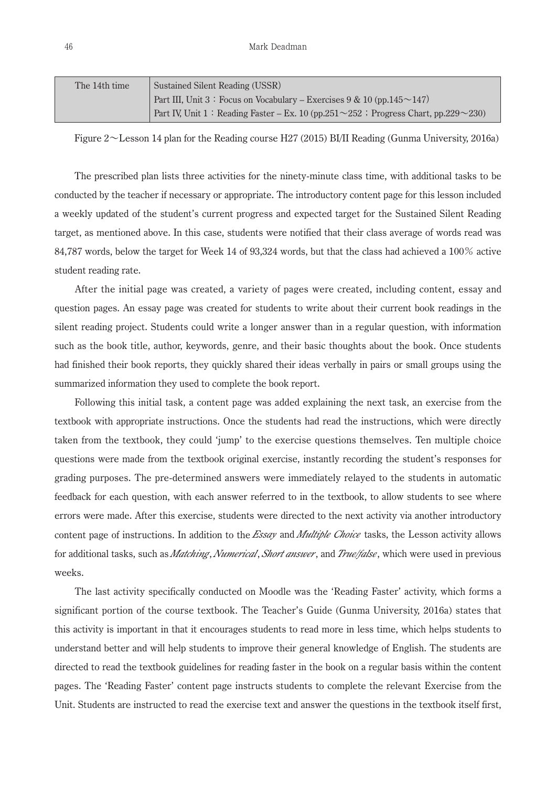| The 14th time | Sustained Silent Reading (USSR)                                                                 |
|---------------|-------------------------------------------------------------------------------------------------|
|               | Part III, Unit 3: Focus on Vocabulary – Exercises $9 & 10$ (pp. 145 $\sim$ 147)                 |
|               | Part IV, Unit 1: Reading Faster – Ex. 10 (pp.251 $\sim$ 252; Progress Chart, pp.229 $\sim$ 230) |

Figure 2~Lesson 14 plan for the Reading course H27 (2015) BI/II Reading (Gunma University, 2016a)

 The prescribed plan lists three activities for the ninety-minute class time, with additional tasks to be conducted by the teacher if necessary or appropriate. The introductory content page for this lesson included a weekly updated of the student's current progress and expected target for the Sustained Silent Reading target, as mentioned above. In this case, students were notified that their class average of words read was 84,787 words, below the target for Week 14 of 93,324 words, but that the class had achieved a 100% active student reading rate.

 After the initial page was created, a variety of pages were created, including content, essay and question pages. An essay page was created for students to write about their current book readings in the silent reading project. Students could write a longer answer than in a regular question, with information such as the book title, author, keywords, genre, and their basic thoughts about the book. Once students had finished their book reports, they quickly shared their ideas verbally in pairs or small groups using the summarized information they used to complete the book report.

 Following this initial task, a content page was added explaining the next task, an exercise from the textbook with appropriate instructions. Once the students had read the instructions, which were directly taken from the textbook, they could 'jump' to the exercise questions themselves. Ten multiple choice questions were made from the textbook original exercise, instantly recording the student's responses for grading purposes. The pre-determined answers were immediately relayed to the students in automatic feedback for each question, with each answer referred to in the textbook, to allow students to see where errors were made. After this exercise, students were directed to the next activity via another introductory content page of instructions. In addition to the *Essay* and *Multiple Choice* tasks, the Lesson activity allows for additional tasks, such as *Matching*, *Numerical*, *Short answer*, and *True/false*, which were used in previous weeks.

 The last activity specifically conducted on Moodle was the 'Reading Faster' activity, which forms a significant portion of the course textbook. The Teacher's Guide (Gunma University, 2016a) states that this activity is important in that it encourages students to read more in less time, which helps students to understand better and will help students to improve their general knowledge of English. The students are directed to read the textbook guidelines for reading faster in the book on a regular basis within the content pages. The 'Reading Faster' content page instructs students to complete the relevant Exercise from the Unit. Students are instructed to read the exercise text and answer the questions in the textbook itself first,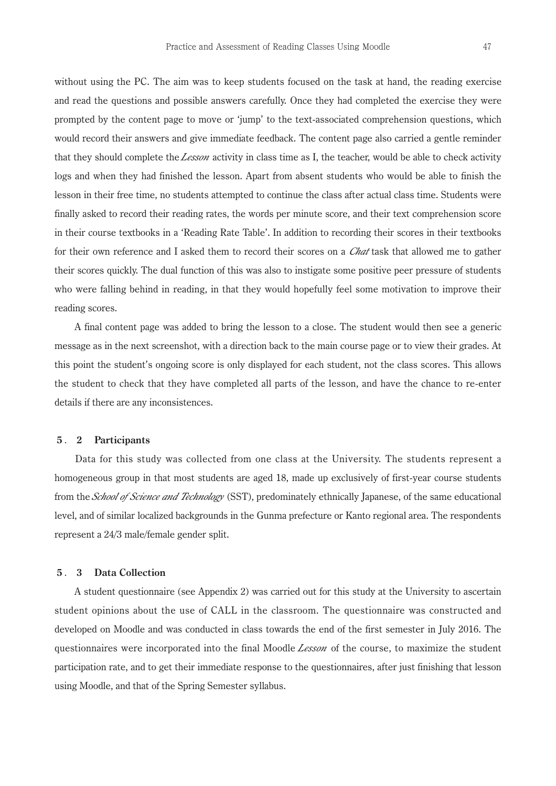without using the PC. The aim was to keep students focused on the task at hand, the reading exercise and read the questions and possible answers carefully. Once they had completed the exercise they were prompted by the content page to move or 'jump' to the text-associated comprehension questions, which would record their answers and give immediate feedback. The content page also carried a gentle reminder that they should complete the *Lesson* activity in class time as I, the teacher, would be able to check activity logs and when they had finished the lesson. Apart from absent students who would be able to finish the lesson in their free time, no students attempted to continue the class after actual class time. Students were finally asked to record their reading rates, the words per minute score, and their text comprehension score in their course textbooks in a 'Reading Rate Table'. In addition to recording their scores in their textbooks

for their own reference and I asked them to record their scores on a *Chat* task that allowed me to gather their scores quickly. The dual function of this was also to instigate some positive peer pressure of students who were falling behind in reading, in that they would hopefully feel some motivation to improve their reading scores.

 A final content page was added to bring the lesson to a close. The student would then see a generic message as in the next screenshot, with a direction back to the main course page or to view their grades. At this point the student's ongoing score is only displayed for each student, not the class scores. This allows the student to check that they have completed all parts of the lesson, and have the chance to re-enter details if there are any inconsistences.

#### **5** . **2 Participants**

 Data for this study was collected from one class at the University. The students represent a homogeneous group in that most students are aged 18, made up exclusively of first-year course students from the *School of Science and Technology* (SST), predominately ethnically Japanese, of the same educational level, and of similar localized backgrounds in the Gunma prefecture or Kanto regional area. The respondents represent a 24/3 male/female gender split.

#### **5** . **3 Data Collection**

 A student questionnaire (see Appendix 2) was carried out for this study at the University to ascertain student opinions about the use of CALL in the classroom. The questionnaire was constructed and developed on Moodle and was conducted in class towards the end of the first semester in July 2016. The questionnaires were incorporated into the final Moodle *Lesson* of the course, to maximize the student participation rate, and to get their immediate response to the questionnaires, after just finishing that lesson using Moodle, and that of the Spring Semester syllabus.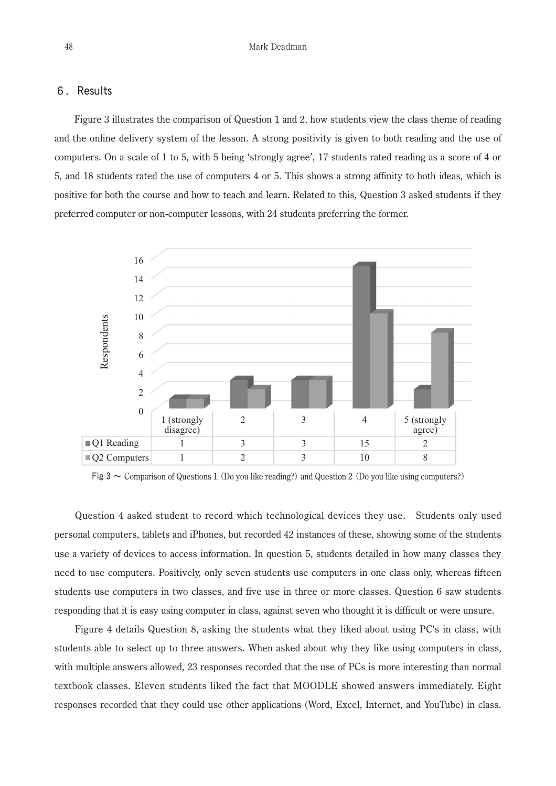## 6.Results

 Figure 3 illustrates the comparison of Question 1 and 2, how students view the class theme of reading and the online delivery system of the lesson. A strong positivity is given to both reading and the use of computers. On a scale of 1 to 5, with 5 being 'strongly agree', 17 students rated reading as a score of 4 or 5, and 18 students rated the use of computers 4 or 5. This shows a strong affinity to both ideas, which is positive for both the course and how to teach and learn. Related to this, Question 3 asked students if they preferred computer or non-computer lessons, with 24 students preferring the former.



Fig 3  $\sim$  Comparison of Questions 1 (Do you like reading?) and Question 2 (Do you like using computers?)

 Question 4 asked student to record which technological devices they use. Students only used personal computers, tablets and iPhones, but recorded 42 instances of these, showing some of the students use a variety of devices to access information. In question 5, students detailed in how many classes they need to use computers. Positively, only seven students use computers in one class only, whereas fifteen students use computers in two classes, and five use in three or more classes. Question 6 saw students responding that it is easy using computer in class, against seven who thought it is difficult or were unsure.

 Figure 4 details Question 8, asking the students what they liked about using PC's in class, with students able to select up to three answers. When asked about why they like using computers in class, with multiple answers allowed, 23 responses recorded that the use of PCs is more interesting than normal textbook classes. Eleven students liked the fact that MOODLE showed answers immediately. Eight responses recorded that they could use other applications (Word, Excel, Internet, and YouTube) in class.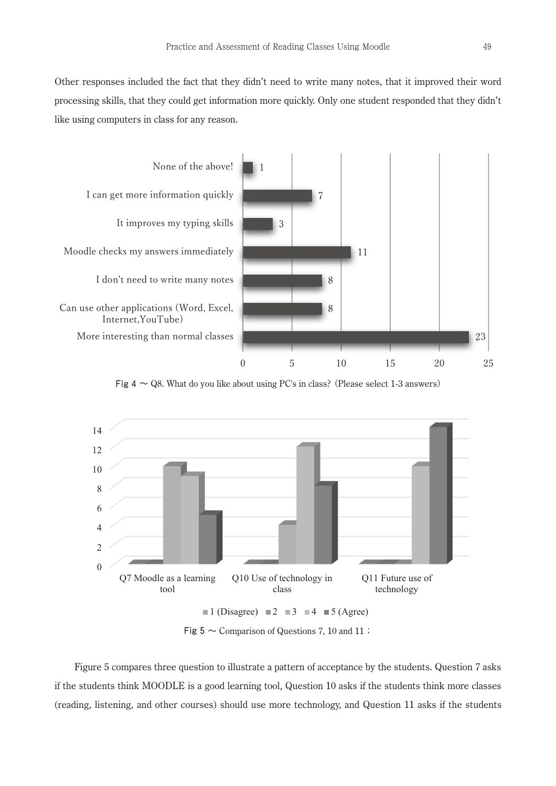Other responses included the fact that they didn't need to write many notes, that it improved their word processing skills, that they could get information more quickly. Only one student responded that they didn't like using computers in class for any reason.



Fig  $4 \sim Q8$ . What do you like about using PC's in class? (Please select 1-3 answers)



Fig  $5 \sim$  Comparison of Questions 7, 10 and 11;

 Figure 5 compares three question to illustrate a pattern of acceptance by the students. Question 7 asks if the students think MOODLE is a good learning tool, Question 10 asks if the students think more classes (reading, listening, and other courses) should use more technology, and Question 11 asks if the students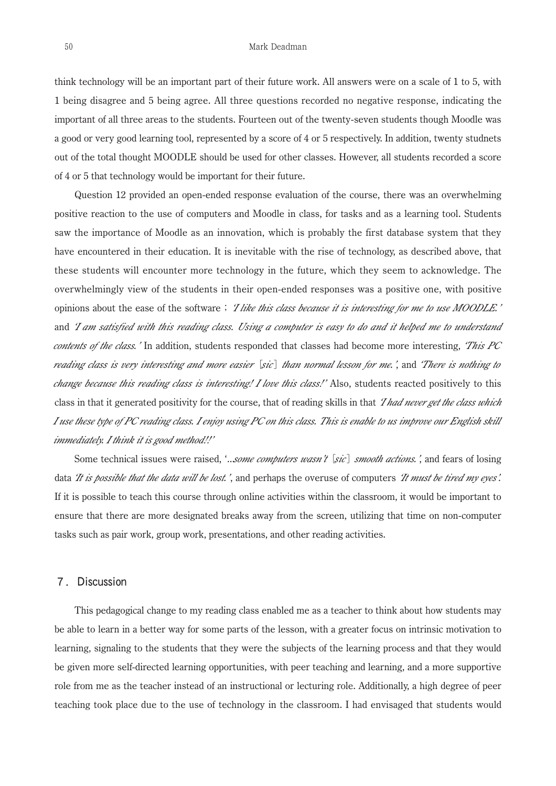think technology will be an important part of their future work. All answers were on a scale of 1 to 5, with 1 being disagree and 5 being agree. All three questions recorded no negative response, indicating the important of all three areas to the students. Fourteen out of the twenty-seven students though Moodle was a good or very good learning tool, represented by a score of 4 or 5 respectively. In addition, twenty studnets out of the total thought MOODLE should be used for other classes. However, all students recorded a score of 4 or 5 that technology would be important for their future.

 Question 12 provided an open-ended response evaluation of the course, there was an overwhelming positive reaction to the use of computers and Moodle in class, for tasks and as a learning tool. Students saw the importance of Moodle as an innovation, which is probably the first database system that they have encountered in their education. It is inevitable with the rise of technology, as described above, that these students will encounter more technology in the future, which they seem to acknowledge. The overwhelmingly view of the students in their open-ended responses was a positive one, with positive opinions about the ease of the software;*'I like this class because it is interesting for me to use MOODLE.'*  and *'I am satisfied with this reading class. Using a computer is easy to do and it helped me to understand contents of the class.'* In addition, students responded that classes had become more interesting, *'This PC reading class is very interesting and more easier* [*sic*] *than normal lesson for me.'*, and *'There is nothing to change because this reading class is interesting! I love this class!'* Also, students reacted positively to this class in that it generated positivity for the course, that of reading skills in that *'I had never get the class which I use these type of PC reading class. I enjoy using PC on this class. This is enable to us improve our English skill immediately. I think it is good method!!'*

Some technical issues were raised, '...*some computers wasn't* [*sic*] *smooth actions.'*, and fears of losing data *'It is possible that the data will be lost.'*, and perhaps the overuse of computers *'It must be tired my eyes'.*  If it is possible to teach this course through online activities within the classroom, it would be important to ensure that there are more designated breaks away from the screen, utilizing that time on non-computer tasks such as pair work, group work, presentations, and other reading activities.

#### 7.Discussion

 This pedagogical change to my reading class enabled me as a teacher to think about how students may be able to learn in a better way for some parts of the lesson, with a greater focus on intrinsic motivation to learning, signaling to the students that they were the subjects of the learning process and that they would be given more self-directed learning opportunities, with peer teaching and learning, and a more supportive role from me as the teacher instead of an instructional or lecturing role. Additionally, a high degree of peer teaching took place due to the use of technology in the classroom. I had envisaged that students would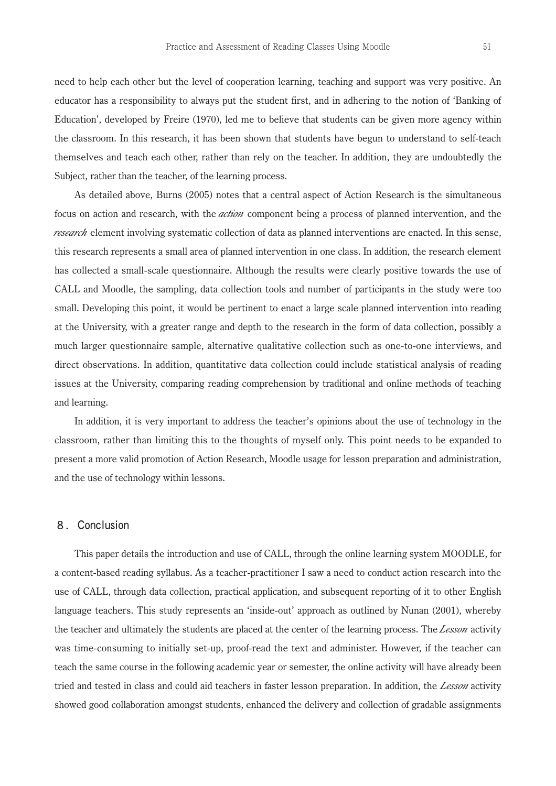need to help each other but the level of cooperation learning, teaching and support was very positive. An educator has a responsibility to always put the student first, and in adhering to the notion of 'Banking of Education', developed by Freire (1970), led me to believe that students can be given more agency within the classroom. In this research, it has been shown that students have begun to understand to self-teach themselves and teach each other, rather than rely on the teacher. In addition, they are undoubtedly the Subject, rather than the teacher, of the learning process.

 As detailed above, Burns (2005) notes that a central aspect of Action Research is the simultaneous focus on action and research, with the *action* component being a process of planned intervention, and the *research* element involving systematic collection of data as planned interventions are enacted. In this sense, this research represents a small area of planned intervention in one class. In addition, the research element has collected a small-scale questionnaire. Although the results were clearly positive towards the use of CALL and Moodle, the sampling, data collection tools and number of participants in the study were too small. Developing this point, it would be pertinent to enact a large scale planned intervention into reading at the University, with a greater range and depth to the research in the form of data collection, possibly a much larger questionnaire sample, alternative qualitative collection such as one-to-one interviews, and direct observations. In addition, quantitative data collection could include statistical analysis of reading issues at the University, comparing reading comprehension by traditional and online methods of teaching and learning.

 In addition, it is very important to address the teacher's opinions about the use of technology in the classroom, rather than limiting this to the thoughts of myself only. This point needs to be expanded to present a more valid promotion of Action Research, Moodle usage for lesson preparation and administration, and the use of technology within lessons.

## 8.Conclusion

 This paper details the introduction and use of CALL, through the online learning system MOODLE, for a content-based reading syllabus. As a teacher-practitioner I saw a need to conduct action research into the use of CALL, through data collection, practical application, and subsequent reporting of it to other English language teachers. This study represents an 'inside-out' approach as outlined by Nunan (2001), whereby the teacher and ultimately the students are placed at the center of the learning process. The *Lesson* activity was time-consuming to initially set-up, proof-read the text and administer. However, if the teacher can teach the same course in the following academic year or semester, the online activity will have already been tried and tested in class and could aid teachers in faster lesson preparation. In addition, the *Lesson* activity showed good collaboration amongst students, enhanced the delivery and collection of gradable assignments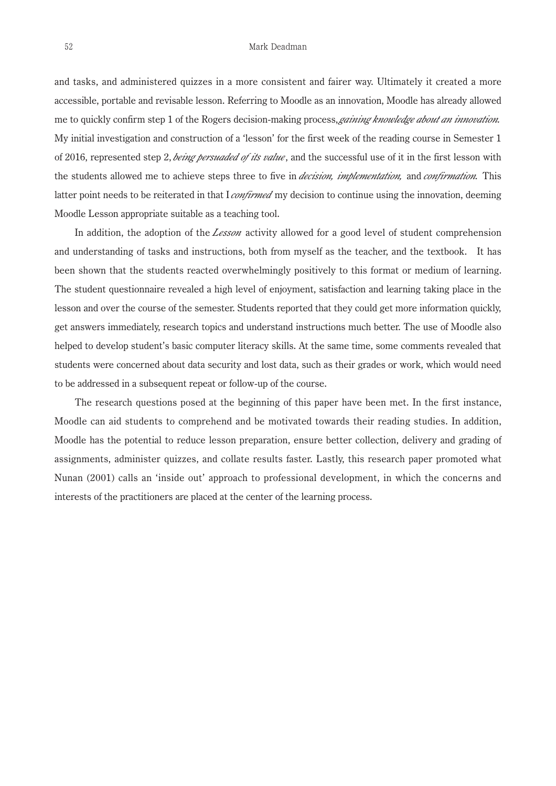and tasks, and administered quizzes in a more consistent and fairer way. Ultimately it created a more accessible, portable and revisable lesson. Referring to Moodle as an innovation, Moodle has already allowed me to quickly confirm step 1 of the Rogers decision-making process, *gaining knowledge about an innovation.* My initial investigation and construction of a 'lesson' for the first week of the reading course in Semester 1 of 2016, represented step 2, *being persuaded of its value*, and the successful use of it in the first lesson with the students allowed me to achieve steps three to five in *decision, implementation,* and *confirmation.* This latter point needs to be reiterated in that I *confirmed* my decision to continue using the innovation, deeming Moodle Lesson appropriate suitable as a teaching tool.

 In addition, the adoption of the *Lesson* activity allowed for a good level of student comprehension and understanding of tasks and instructions, both from myself as the teacher, and the textbook. It has been shown that the students reacted overwhelmingly positively to this format or medium of learning. The student questionnaire revealed a high level of enjoyment, satisfaction and learning taking place in the lesson and over the course of the semester. Students reported that they could get more information quickly, get answers immediately, research topics and understand instructions much better. The use of Moodle also helped to develop student's basic computer literacy skills. At the same time, some comments revealed that students were concerned about data security and lost data, such as their grades or work, which would need to be addressed in a subsequent repeat or follow-up of the course.

 The research questions posed at the beginning of this paper have been met. In the first instance, Moodle can aid students to comprehend and be motivated towards their reading studies. In addition, Moodle has the potential to reduce lesson preparation, ensure better collection, delivery and grading of assignments, administer quizzes, and collate results faster. Lastly, this research paper promoted what Nunan (2001) calls an 'inside out' approach to professional development, in which the concerns and interests of the practitioners are placed at the center of the learning process.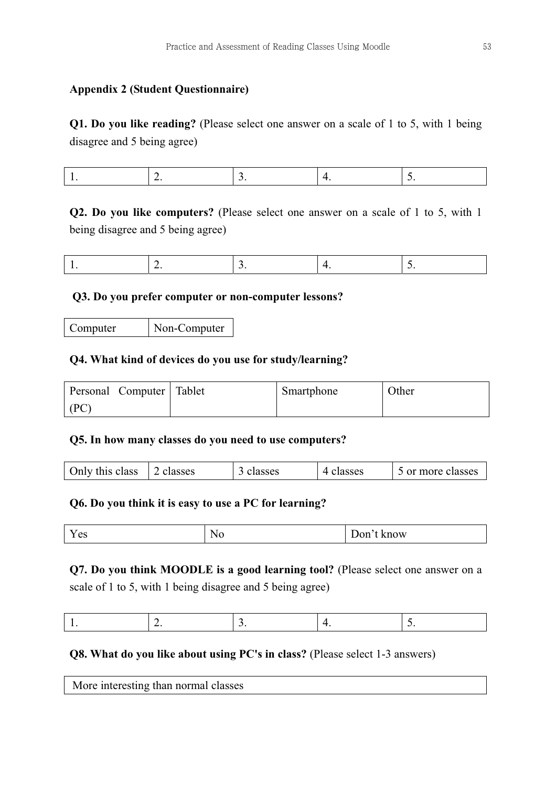# **Appendix 2 (Student Questionnaire)**

**Q1. Do you like reading?** (Please select one answer on a scale of 1 to 5, with 1 being disagree and 5 being agree)

|--|--|--|--|--|

**Q2. Do you like computers?** (Please select one answer on a scale of 1 to 5, with 1 being disagree and 5 being agree)

|--|--|--|--|

# **Q3. Do you prefer computer or non-computer lessons?**

Computer | Non-Computer

# **Q4. What kind of devices do you use for study/learning?**

|      | Personal Computer   Tablet | Smartphone | Other |
|------|----------------------------|------------|-------|
| (PC) |                            |            |       |

# **Q5. In how many classes do you need to use computers?**

| Only this class<br>4 classes<br>2 classes<br>classes<br>5 or more classes |
|---------------------------------------------------------------------------|
|---------------------------------------------------------------------------|

# **Q6. Do you think it is easy to use a PC for learning?**

|  | Yes | ~ | ow |
|--|-----|---|----|
|--|-----|---|----|

**Q7. Do you think MOODLE is a good learning tool?** (Please select one answer on a scale of 1 to 5, with 1 being disagree and 5 being agree)

|--|--|

# **Q8. What do you like about using PC's in class? (Please select 1-3 answers)**

| More interesting than normal classes |  |
|--------------------------------------|--|
|--------------------------------------|--|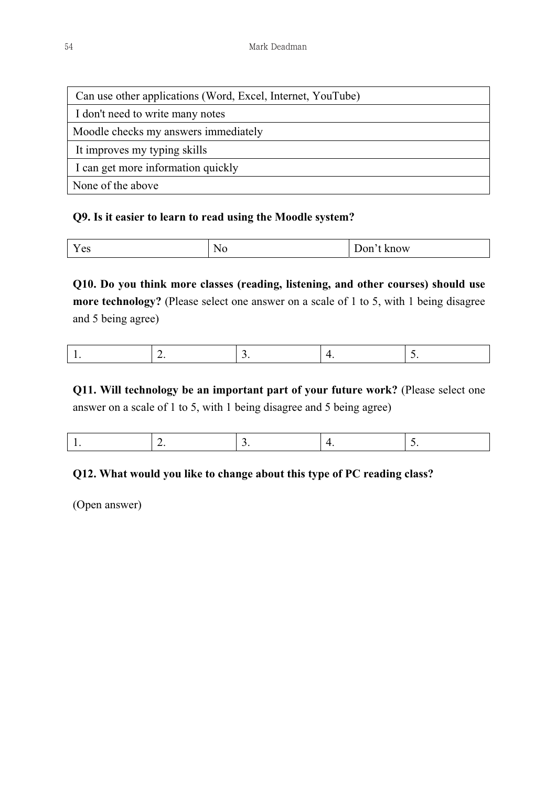| Can use other applications (Word, Excel, Internet, YouTube) |
|-------------------------------------------------------------|
| I don't need to write many notes                            |
| Moodle checks my answers immediately                        |
| It improves my typing skills                                |
| I can get more information quickly                          |
| None of the above                                           |

# **Q9. Is it easier to learn to read using the Moodle system?**

| $ -$<br>$\alpha$<br>t know<br>N.<br>100<br>1 I V<br>$\mathbf{v}$ |  |
|------------------------------------------------------------------|--|
|------------------------------------------------------------------|--|

**Q10. Do you think more classes (reading, listening, and other courses) should use more technology?** (Please select one answer on a scale of 1 to 5, with 1 being disagree and 5 being agree)

|--|

**Q11. Will technology be an important part of your future work?** (Please select one answer on a scale of 1 to 5, with 1 being disagree and 5 being agree)

|--|--|--|--|

# **Q12. What would you like to change about this type of PC reading class?**

(Open answer)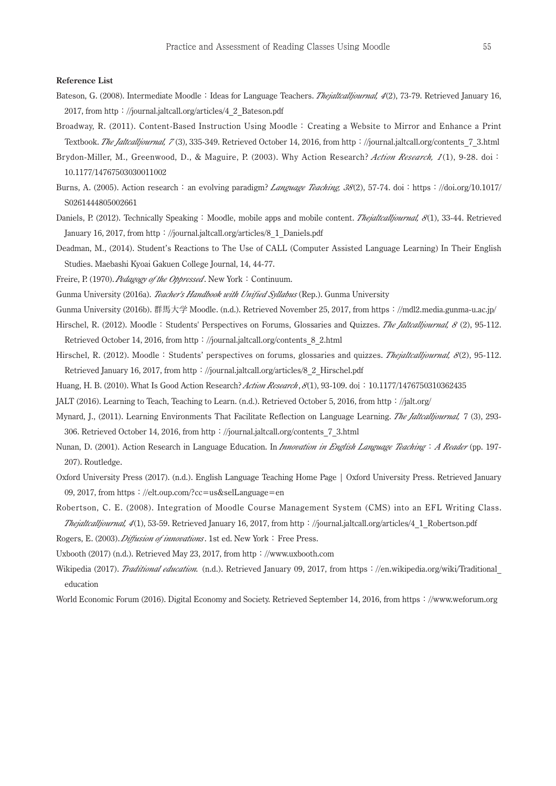#### **Reference List**

- Bateson, G. (2008). Intermediate Moodle: Ideas for Language Teachers. *Thejaltcalljournal, <sup>4</sup>*(2), 73-79. Retrieved January 16, 2017, from http://journal.jaltcall.org/articles/4\_2\_Bateson.pdf
- Broadway, R. (2011). Content-Based Instruction Using Moodle: Creating a Website to Mirror and Enhance a Print Textbook. *The Jaltcalljournal, 7* (3), 335-349. Retrieved October 14, 2016, from http://journal.jaltcall.org/contents\_7\_3.html
- Brydon-Miller, M., Greenwood, D., & Maguire, P. (2003). Why Action Research? *Action Research, <sup>1</sup>* (1), 9-28. doi: 10.1177/14767503030011002
- Burns, A. (2005). Action research: an evolving paradigm? *Language Teaching, <sup>38</sup>*(2), 57-74. doi:https://doi.org/10.1017/ S0261444805002661
- Daniels, P. (2012). Technically Speaking: Moodle, mobile apps and mobile content. *Thejaltcalljournal, <sup>8</sup>*(1), 33-44. Retrieved January 16, 2017, from http://journal.jaltcall.org/articles/8\_1\_Daniels.pdf
- Deadman, M., (2014). Student's Reactions to The Use of CALL (Computer Assisted Language Learning) In Their English Studies. Maebashi Kyoai Gakuen College Journal, 14, 44-77.
- Freire, P. (1970). *Pedagogy of the Oppressed*. New York: Continuum.
- Gunma University (2016a). *Teacher's Handbook with Unified Syllabus* (Rep.). Gunma University
- Gunma University (2016b). 群馬大学 Moodle. (n.d.). Retrieved November 25, 2017, from https://mdl2.media.gunma-u.ac.jp/
- Hirschel, R. (2012). Moodle: Students' Perspectives on Forums, Glossaries and Quizzes. *The Jaltcalljournal, <sup>8</sup>*(2), 95-112. Retrieved October 14, 2016, from http://journal.jaltcall.org/contents\_8\_2.html
- Hirschel, R. (2012). Moodle: Students' perspectives on forums, glossaries and quizzes. *Thejaltcalljournal, <sup>8</sup>* (2), 95-112. Retrieved January 16, 2017, from http://journal.jaltcall.org/articles/8\_2\_Hirschel.pdf
- Huang, H. B. (2010). What Is Good Action Research? *Action Research*,  $8(1)$ , 93-109. doi:10.1177/1476750310362435
- JALT (2016). Learning to Teach, Teaching to Learn. (n.d.). Retrieved October 5, 2016, from http://jalt.org/
- Mynard, J., (2011). Learning Environments That Facilitate Reflection on Language Learning. *The Jaltcalljournal,* 7 (3), 293- 306. Retrieved October 14, 2016, from http://journal.jaltcall.org/contents\_7\_3.html
- Nunan, D. (2001). Action Research in Language Education. In *Innovation in English Language Teaching*: *A Reader* (pp. 197- 207). Routledge.
- Oxford University Press (2017). (n.d.). English Language Teaching Home Page | Oxford University Press. Retrieved January 09, 2017, from https://elt.oup.com/?cc=us&selLanguage=en
- Robertson, C. E. (2008). Integration of Moodle Course Management System (CMS) into an EFL Writing Class. *Thejaltcalljournal, <sup>4</sup>*(1), 53-59. Retrieved January 16, 2017, from http://journal.jaltcall.org/articles/4\_1\_Robertson.pdf

Rogers, E. (2003). *Diffusion of innovations*. 1st ed. New York: Free Press.

- Uxbooth (2017) (n.d.). Retrieved May 23, 2017, from http://www.uxbooth.com
- Wikipedia (2017). *Traditional education.* (n.d.). Retrieved January 09, 2017, from https://en.wikipedia.org/wiki/Traditional\_ education
- World Economic Forum (2016). Digital Economy and Society. Retrieved September 14, 2016, from https://www.weforum.org